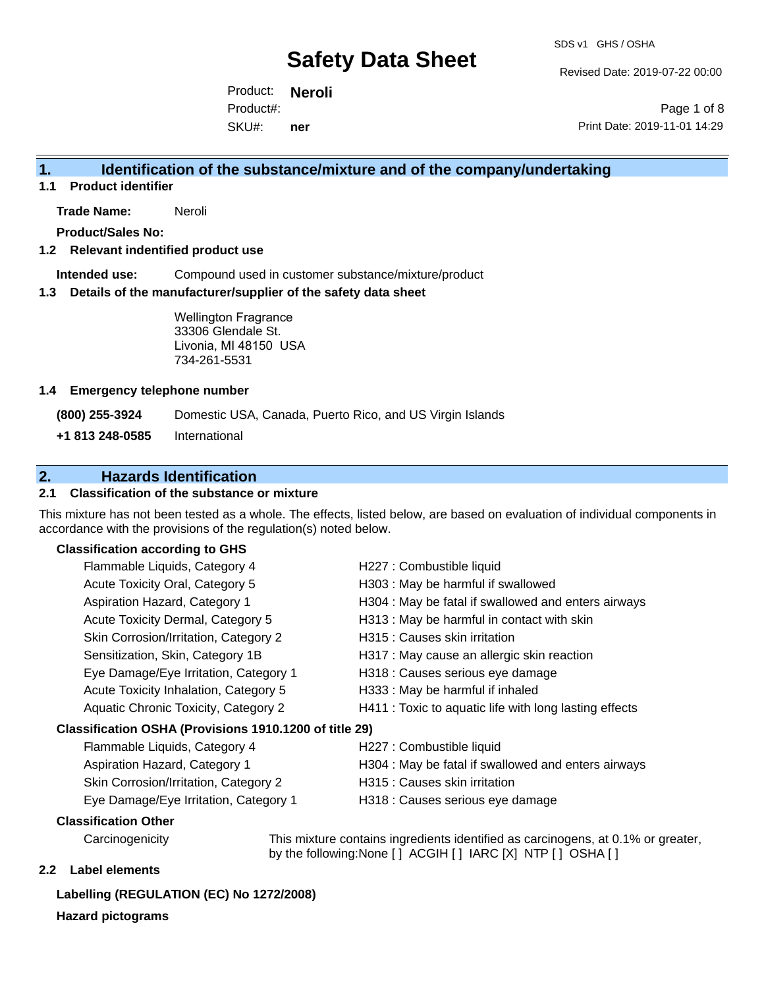Revised Date: 2019-07-22 00:00

Product: **Neroli** SKU#: Product#: **ner**

Page 1 of 8 Print Date: 2019-11-01 14:29

# **1. Identification of the substance/mixture and of the company/undertaking**

**1.1 Product identifier**

**Trade Name:** Neroli

**Product/Sales No:**

#### **1.2 Relevant indentified product use**

**Intended use:** Compound used in customer substance/mixture/product

#### **1.3 Details of the manufacturer/supplier of the safety data sheet**

Wellington Fragrance 33306 Glendale St. Livonia, MI 48150 USA 734-261-5531

#### **1.4 Emergency telephone number**

**(800) 255-3924** Domestic USA, Canada, Puerto Rico, and US Virgin Islands

**+1 813 248-0585** International

# **2. Hazards Identification**

### **2.1 Classification of the substance or mixture**

This mixture has not been tested as a whole. The effects, listed below, are based on evaluation of individual components in accordance with the provisions of the regulation(s) noted below.

### **Classification according to GHS**

| Flammable Liquids, Category 4                                                                 | H227 : Combustible liquid                                                                                                                              |
|-----------------------------------------------------------------------------------------------|--------------------------------------------------------------------------------------------------------------------------------------------------------|
| Acute Toxicity Oral, Category 5                                                               | H303 : May be harmful if swallowed                                                                                                                     |
| Aspiration Hazard, Category 1                                                                 | H304 : May be fatal if swallowed and enters airways                                                                                                    |
| Acute Toxicity Dermal, Category 5                                                             | H313 : May be harmful in contact with skin                                                                                                             |
| Skin Corrosion/Irritation, Category 2                                                         | H315 : Causes skin irritation                                                                                                                          |
| Sensitization, Skin, Category 1B                                                              | H317 : May cause an allergic skin reaction                                                                                                             |
| Eye Damage/Eye Irritation, Category 1                                                         | H318 : Causes serious eye damage                                                                                                                       |
| Acute Toxicity Inhalation, Category 5                                                         | H333: May be harmful if inhaled                                                                                                                        |
| Aquatic Chronic Toxicity, Category 2                                                          | H411 : Toxic to aquatic life with long lasting effects                                                                                                 |
| Classification OSHA (Provisions 1910.1200 of title 29)                                        |                                                                                                                                                        |
| Flammable Liquids, Category 4                                                                 | H227 : Combustible liquid                                                                                                                              |
| $\lambda$ and $\lambda$ and $\lambda$ and $\lambda$ and $\lambda$ and $\lambda$ and $\lambda$ | $11004 + M_{\odot}$ ; i.e. $f_{\odot}$ and $f_{\odot}$ and $f_{\odot}$ and $f_{\odot}$ and $f_{\odot}$ and $f_{\odot}$ and $f_{\odot}$ and $f_{\odot}$ |

| Flammable Liquids, Category 4         | H227 : Combustible liquid                           |
|---------------------------------------|-----------------------------------------------------|
| Aspiration Hazard, Category 1         | H304 : May be fatal if swallowed and enters airways |
| Skin Corrosion/Irritation, Category 2 | H315 : Causes skin irritation                       |
| Eye Damage/Eye Irritation, Category 1 | H318 : Causes serious eye damage                    |

#### **Classification Other**

Carcinogenicity This mixture contains ingredients identified as carcinogens, at 0.1% or greater, by the following:None [ ] ACGIH [ ] IARC [X] NTP [ ] OSHA [ ]

#### **2.2 Label elements**

## **Labelling (REGULATION (EC) No 1272/2008)**

# **Hazard pictograms**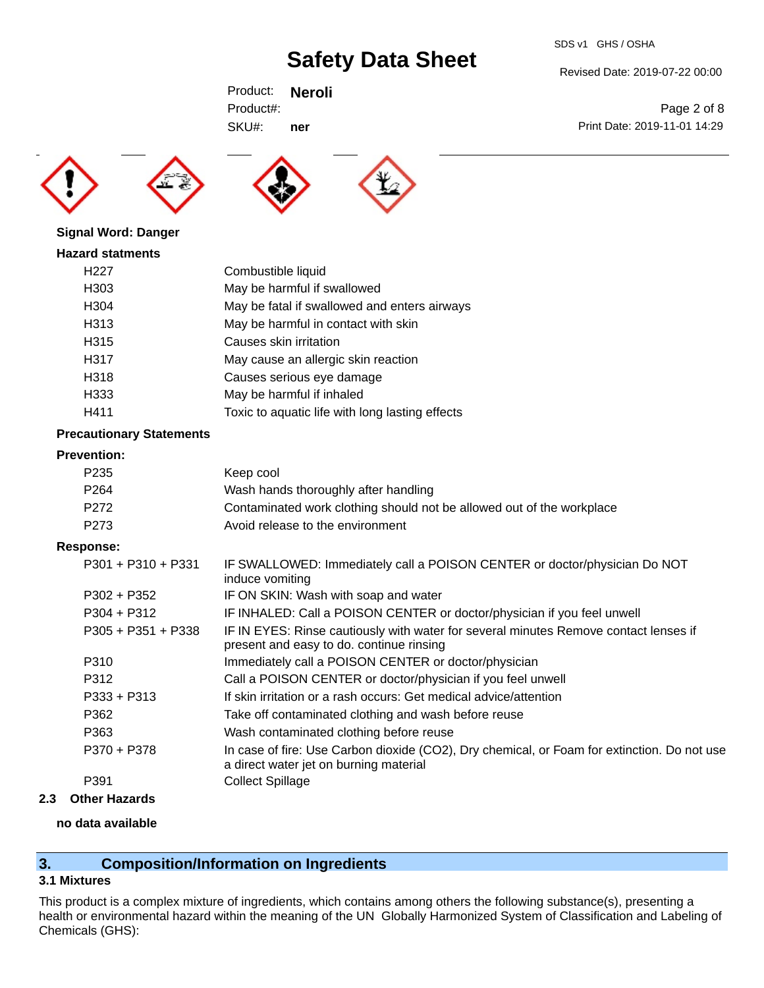SDS v1 GHS / OSHA

Revised Date: 2019-07-22 00:00

Print Date: 2019-11-01 14:29

Page 2 of 8

Product: **Neroli** SKU#: Product#: **ner**

**Signal Word: Danger**





**Hazard statments** H227 Combustible liquid H303 May be harmful if swallowed H304 May be fatal if swallowed and enters airways H313 May be harmful in contact with skin H315 Causes skin irritation H317 May cause an allergic skin reaction H318 Causes serious eye damage H333 May be harmful if inhaled H411 Toxic to aquatic life with long lasting effects

### **Precautionary Statements**

#### **Prevention:**

| P <sub>2</sub> 35 | Keep cool                                                             |
|-------------------|-----------------------------------------------------------------------|
| P <sub>264</sub>  | Wash hands thoroughly after handling                                  |
| P272              | Contaminated work clothing should not be allowed out of the workplace |
| P273              | Avoid release to the environment                                      |
|                   |                                                                       |

#### **Response:**

| $P301 + P310 + P331$ | IF SWALLOWED: Immediately call a POISON CENTER or doctor/physician Do NOT<br>induce vomiting                                          |
|----------------------|---------------------------------------------------------------------------------------------------------------------------------------|
| $P302 + P352$        | IF ON SKIN: Wash with soap and water                                                                                                  |
| $P304 + P312$        | IF INHALED: Call a POISON CENTER or doctor/physician if you feel unwell                                                               |
| $P305 + P351 + P338$ | IF IN EYES: Rinse cautiously with water for several minutes Remove contact lenses if<br>present and easy to do. continue rinsing      |
| P310                 | Immediately call a POISON CENTER or doctor/physician                                                                                  |
| P312                 | Call a POISON CENTER or doctor/physician if you feel unwell                                                                           |
| $P333 + P313$        | If skin irritation or a rash occurs: Get medical advice/attention                                                                     |
| P362                 | Take off contaminated clothing and wash before reuse                                                                                  |
| P363                 | Wash contaminated clothing before reuse                                                                                               |
| P370 + P378          | In case of fire: Use Carbon dioxide (CO2), Dry chemical, or Foam for extinction. Do not use<br>a direct water jet on burning material |
| P391                 | <b>Collect Spillage</b>                                                                                                               |
|                      |                                                                                                                                       |

## **2.3 Other Hazards**

#### **no data available**

# **3. Composition/Information on Ingredients**

# **3.1 Mixtures**

This product is a complex mixture of ingredients, which contains among others the following substance(s), presenting a health or environmental hazard within the meaning of the UN Globally Harmonized System of Classification and Labeling of Chemicals (GHS):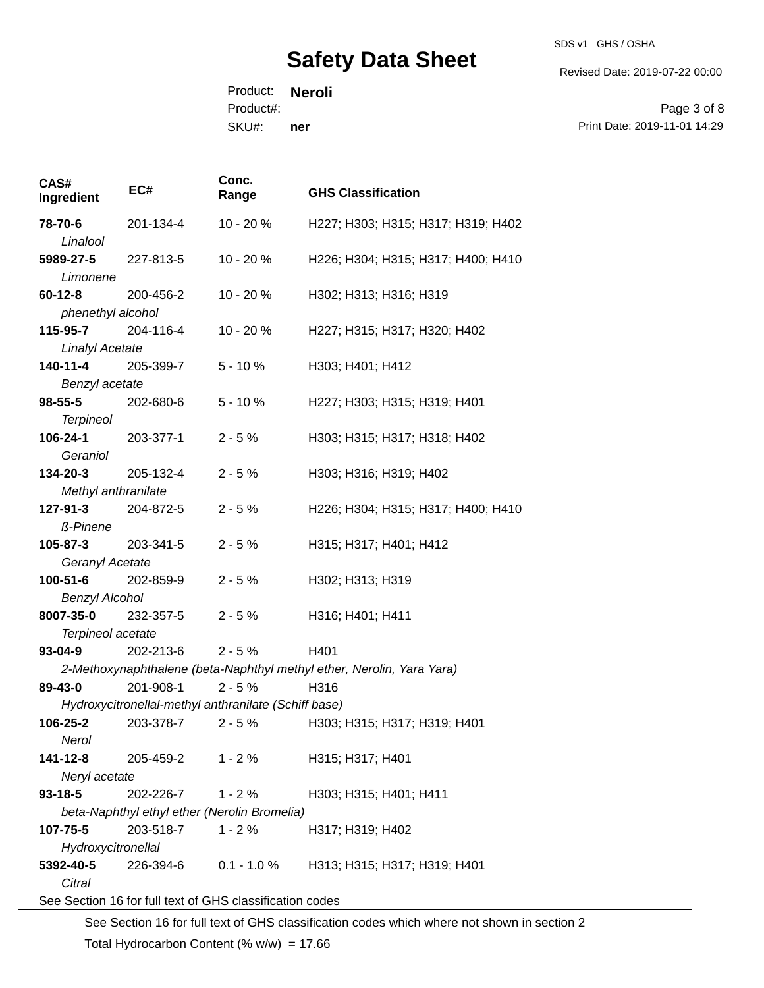SDS v1 GHS / OSHA

Revised Date: 2019-07-22 00:00

Product: **Neroli** SKU#: Product#: **ner**

Page 3 of 8 Print Date: 2019-11-01 14:29

| CAS#<br>Ingredient                                       | EC#                                                  | Conc.<br>Range | <b>GHS Classification</b>                                             |
|----------------------------------------------------------|------------------------------------------------------|----------------|-----------------------------------------------------------------------|
| 78-70-6                                                  | 201-134-4                                            | 10 - 20 %      | H227; H303; H315; H317; H319; H402                                    |
| Linalool                                                 |                                                      |                |                                                                       |
| 5989-27-5                                                | 227-813-5                                            | $10 - 20%$     | H226; H304; H315; H317; H400; H410                                    |
| Limonene                                                 |                                                      |                |                                                                       |
| <b>60-12-8</b> 200-456-2                                 |                                                      | 10 - 20 %      | H302; H313; H316; H319                                                |
| phenethyl alcohol                                        |                                                      |                |                                                                       |
| 115-95-7                                                 | 204-116-4                                            | $10 - 20%$     | H227; H315; H317; H320; H402                                          |
| <b>Linalyl Acetate</b>                                   |                                                      |                |                                                                       |
| 140-11-4                                                 | 205-399-7                                            | $5 - 10%$      | H303; H401; H412                                                      |
| Benzyl acetate                                           |                                                      |                |                                                                       |
| 98-55-5                                                  | 202-680-6                                            | $5 - 10%$      | H227; H303; H315; H319; H401                                          |
| <b>Terpineol</b>                                         |                                                      |                |                                                                       |
| 106-24-1                                                 | 203-377-1                                            | $2 - 5%$       | H303; H315; H317; H318; H402                                          |
| Geraniol                                                 |                                                      |                |                                                                       |
| 134-20-3                                                 | 205-132-4                                            | $2 - 5%$       | H303; H316; H319; H402                                                |
| Methyl anthranilate                                      |                                                      |                |                                                                       |
| 127-91-3                                                 | 204-872-5                                            | $2 - 5%$       | H226; H304; H315; H317; H400; H410                                    |
| <b>ß-Pinene</b>                                          |                                                      |                |                                                                       |
| 105-87-3                                                 | 203-341-5                                            | $2 - 5%$       | H315; H317; H401; H412                                                |
| Geranyl Acetate                                          |                                                      |                |                                                                       |
| <b>100-51-6</b> 202-859-9                                |                                                      | $2 - 5%$       | H302; H313; H319                                                      |
| <b>Benzyl Alcohol</b>                                    |                                                      |                |                                                                       |
| 8007-35-0                                                | 232-357-5                                            | $2 - 5%$       | H316; H401; H411                                                      |
| Terpineol acetate                                        |                                                      |                |                                                                       |
| $93 - 04 - 9$                                            | 202-213-6                                            | $2 - 5%$       | H401                                                                  |
|                                                          |                                                      |                | 2-Methoxynaphthalene (beta-Naphthyl methyl ether, Nerolin, Yara Yara) |
| 89-43-0                                                  | 201-908-1                                            | $2 - 5%$       | H316                                                                  |
|                                                          | Hydroxycitronellal-methyl anthranilate (Schiff base) |                |                                                                       |
| 106-25-2                                                 | 203-378-7                                            | $2 - 5%$       | H303; H315; H317; H319; H401                                          |
| Nerol                                                    |                                                      |                |                                                                       |
| 141-12-8                                                 | 205-459-2                                            | $1 - 2%$       | H315; H317; H401                                                      |
| Neryl acetate                                            |                                                      |                |                                                                       |
| $93 - 18 - 5$                                            | 202-226-7                                            | $1 - 2%$       | H303; H315; H401; H411                                                |
|                                                          | beta-Naphthyl ethyl ether (Nerolin Bromelia)         |                |                                                                       |
| 107-75-5                                                 | 203-518-7                                            | $1 - 2%$       | H317; H319; H402                                                      |
| Hydroxycitronellal                                       |                                                      |                |                                                                       |
| 5392-40-5                                                | 226-394-6                                            | $0.1 - 1.0 %$  | H313; H315; H317; H319; H401                                          |
| Citral                                                   |                                                      |                |                                                                       |
| See Section 16 for full text of GHS classification codes |                                                      |                |                                                                       |

See Section 16 for full text of GHS classification codes which where not shown in section 2 Total Hydrocarbon Content  $(\% w/w) = 17.66$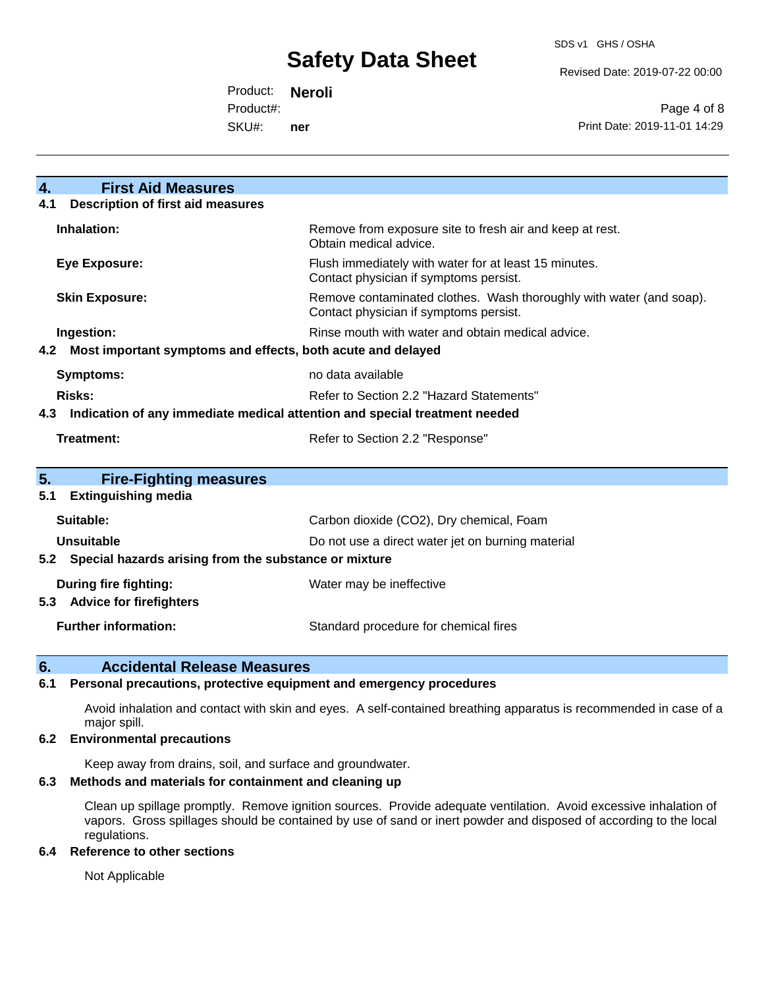Revised Date: 2019-07-22 00:00

Product: **Neroli** Product#:

SKU#: **ner**

Page 4 of 8 Print Date: 2019-11-01 14:29

| $\overline{4}$ .<br><b>First Aid Measures</b>                   |                                                                                                               |  |  |  |
|-----------------------------------------------------------------|---------------------------------------------------------------------------------------------------------------|--|--|--|
| <b>Description of first aid measures</b><br>4.1                 |                                                                                                               |  |  |  |
| Inhalation:                                                     | Remove from exposure site to fresh air and keep at rest.<br>Obtain medical advice.                            |  |  |  |
| <b>Eye Exposure:</b>                                            | Flush immediately with water for at least 15 minutes.<br>Contact physician if symptoms persist.               |  |  |  |
| <b>Skin Exposure:</b>                                           | Remove contaminated clothes. Wash thoroughly with water (and soap).<br>Contact physician if symptoms persist. |  |  |  |
| Ingestion:                                                      | Rinse mouth with water and obtain medical advice.                                                             |  |  |  |
| 4.2 Most important symptoms and effects, both acute and delayed |                                                                                                               |  |  |  |
| <b>Symptoms:</b>                                                | no data available                                                                                             |  |  |  |
| Risks:                                                          | Refer to Section 2.2 "Hazard Statements"                                                                      |  |  |  |
| 4.3                                                             | Indication of any immediate medical attention and special treatment needed                                    |  |  |  |
| Treatment:<br>Refer to Section 2.2 "Response"                   |                                                                                                               |  |  |  |
|                                                                 |                                                                                                               |  |  |  |
| 5.<br><b>Fire-Fighting measures</b>                             |                                                                                                               |  |  |  |
| <b>Extinguishing media</b><br>5.1                               |                                                                                                               |  |  |  |
| Suitable:                                                       | Carbon dioxide (CO2), Dry chemical, Foam                                                                      |  |  |  |
| Unsuitable                                                      | Do not use a direct water jet on burning material                                                             |  |  |  |
| 5.2 Special hazards arising from the substance or mixture       |                                                                                                               |  |  |  |
| <b>During fire fighting:</b><br>5.3 Advice for firefighters     | Water may be ineffective                                                                                      |  |  |  |
| <b>Further information:</b>                                     | Standard procedure for chemical fires                                                                         |  |  |  |

#### **6. Accidental Release Measures**

#### **6.1 Personal precautions, protective equipment and emergency procedures**

Avoid inhalation and contact with skin and eyes. A self-contained breathing apparatus is recommended in case of a major spill.

#### **6.2 Environmental precautions**

Keep away from drains, soil, and surface and groundwater.

#### **6.3 Methods and materials for containment and cleaning up**

Clean up spillage promptly. Remove ignition sources. Provide adequate ventilation. Avoid excessive inhalation of vapors. Gross spillages should be contained by use of sand or inert powder and disposed of according to the local regulations.

#### **6.4 Reference to other sections**

Not Applicable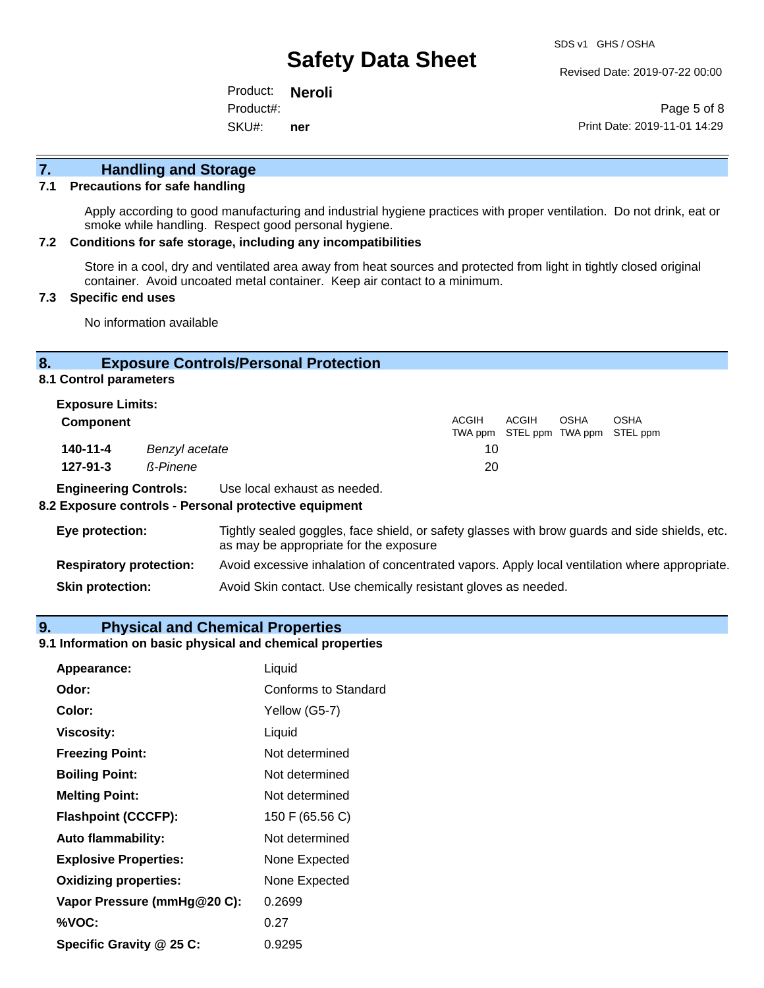Revised Date: 2019-07-22 00:00

Product: **Neroli** SKU#: Product#: **ner**

Page 5 of 8 Print Date: 2019-11-01 14:29

# **7. Handling and Storage**

#### **7.1 Precautions for safe handling**

Apply according to good manufacturing and industrial hygiene practices with proper ventilation. Do not drink, eat or smoke while handling. Respect good personal hygiene.

#### **7.2 Conditions for safe storage, including any incompatibilities**

Store in a cool, dry and ventilated area away from heat sources and protected from light in tightly closed original container. Avoid uncoated metal container. Keep air contact to a minimum.

#### **7.3 Specific end uses**

No information available

#### **8. Exposure Controls/Personal Protection**

**8.1 Control parameters**

| <b>Exposure Limits:</b> |                |              |       |      |                                                  |
|-------------------------|----------------|--------------|-------|------|--------------------------------------------------|
| <b>Component</b>        |                | <b>ACGIH</b> | ACGIH | OSHA | <b>OSHA</b><br>TWA ppm STEL ppm TWA ppm STEL ppm |
| 140-11-4                | Benzyl acetate | 10           |       |      |                                                  |
| $127 - 91 - 3$          | ß-Pinene       | 20           |       |      |                                                  |
|                         |                |              |       |      |                                                  |

**Engineering Controls:** Use local exhaust as needed.

#### **8.2 Exposure controls - Personal protective equipment**

| Eye protection:                | Tightly sealed goggles, face shield, or safety glasses with brow guards and side shields, etc.<br>as may be appropriate for the exposure |
|--------------------------------|------------------------------------------------------------------------------------------------------------------------------------------|
| <b>Respiratory protection:</b> | Avoid excessive inhalation of concentrated vapors. Apply local ventilation where appropriate.                                            |
| <b>Skin protection:</b>        | Avoid Skin contact. Use chemically resistant gloves as needed.                                                                           |

#### **9. Physical and Chemical Properties**

#### **9.1 Information on basic physical and chemical properties**

| Appearance:                  | Liquid               |
|------------------------------|----------------------|
| Odor:                        | Conforms to Standard |
| Color:                       | Yellow (G5-7)        |
| <b>Viscosity:</b>            | Liquid               |
| <b>Freezing Point:</b>       | Not determined       |
| <b>Boiling Point:</b>        | Not determined       |
| <b>Melting Point:</b>        | Not determined       |
| <b>Flashpoint (CCCFP):</b>   | 150 F (65.56 C)      |
| <b>Auto flammability:</b>    | Not determined       |
| <b>Explosive Properties:</b> | None Expected        |
| <b>Oxidizing properties:</b> | None Expected        |
| Vapor Pressure (mmHg@20 C):  | 0.2699               |
| %VOC:                        | 0.27                 |
| Specific Gravity @ 25 C:     | 0.9295               |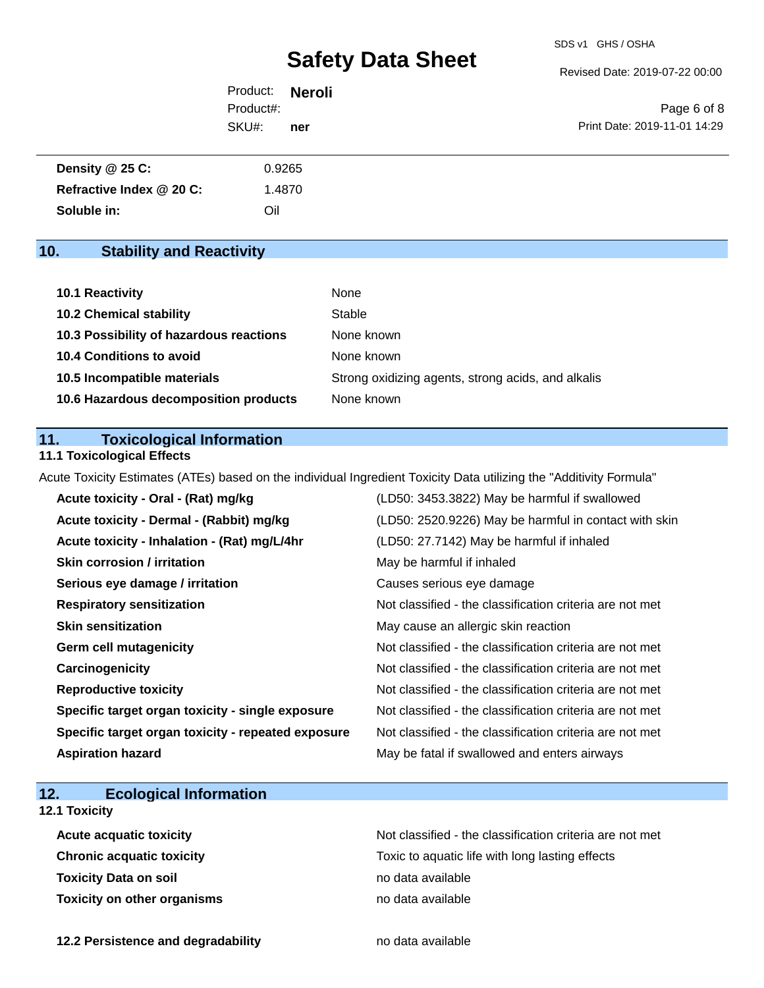Revised Date: 2019-07-22 00:00

Product: **Neroli** SKU#: Product#: **ner**

Page 6 of 8 Print Date: 2019-11-01 14:29

| Density $@25C$ :         | 0.9265 |  |
|--------------------------|--------|--|
| Refractive Index @ 20 C: | 1.4870 |  |
| Soluble in:              | Oil    |  |

# **10. Stability and Reactivity**

| 10.1 Reactivity                         | None                                               |
|-----------------------------------------|----------------------------------------------------|
| <b>10.2 Chemical stability</b>          | Stable                                             |
| 10.3 Possibility of hazardous reactions | None known                                         |
| <b>10.4 Conditions to avoid</b>         | None known                                         |
| 10.5 Incompatible materials             | Strong oxidizing agents, strong acids, and alkalis |
| 10.6 Hazardous decomposition products   | None known                                         |

### **11. Toxicological Information**

### **11.1 Toxicological Effects**

Acute Toxicity Estimates (ATEs) based on the individual Ingredient Toxicity Data utilizing the "Additivity Formula"

| Acute toxicity - Oral - (Rat) mg/kg                | (LD50: 3453.3822) May be harmful if swallowed            |
|----------------------------------------------------|----------------------------------------------------------|
| Acute toxicity - Dermal - (Rabbit) mg/kg           | (LD50: 2520.9226) May be harmful in contact with skin    |
| Acute toxicity - Inhalation - (Rat) mg/L/4hr       | (LD50: 27.7142) May be harmful if inhaled                |
| <b>Skin corrosion / irritation</b>                 | May be harmful if inhaled                                |
| Serious eye damage / irritation                    | Causes serious eye damage                                |
| <b>Respiratory sensitization</b>                   | Not classified - the classification criteria are not met |
| <b>Skin sensitization</b>                          | May cause an allergic skin reaction                      |
| <b>Germ cell mutagenicity</b>                      | Not classified - the classification criteria are not met |
| Carcinogenicity                                    | Not classified - the classification criteria are not met |
| <b>Reproductive toxicity</b>                       | Not classified - the classification criteria are not met |
| Specific target organ toxicity - single exposure   | Not classified - the classification criteria are not met |
| Specific target organ toxicity - repeated exposure | Not classified - the classification criteria are not met |
| <b>Aspiration hazard</b>                           | May be fatal if swallowed and enters airways             |

# **12. Ecological Information**

## **12.1 Toxicity**

| <b>Acute acquatic toxicity</b>     | Not classified - the classification criteria are not met |
|------------------------------------|----------------------------------------------------------|
| <b>Chronic acquatic toxicity</b>   | Toxic to aquatic life with long lasting effects          |
| <b>Toxicity Data on soil</b>       | no data available                                        |
| <b>Toxicity on other organisms</b> | no data available                                        |

**12.2 Persistence and degradability no data available**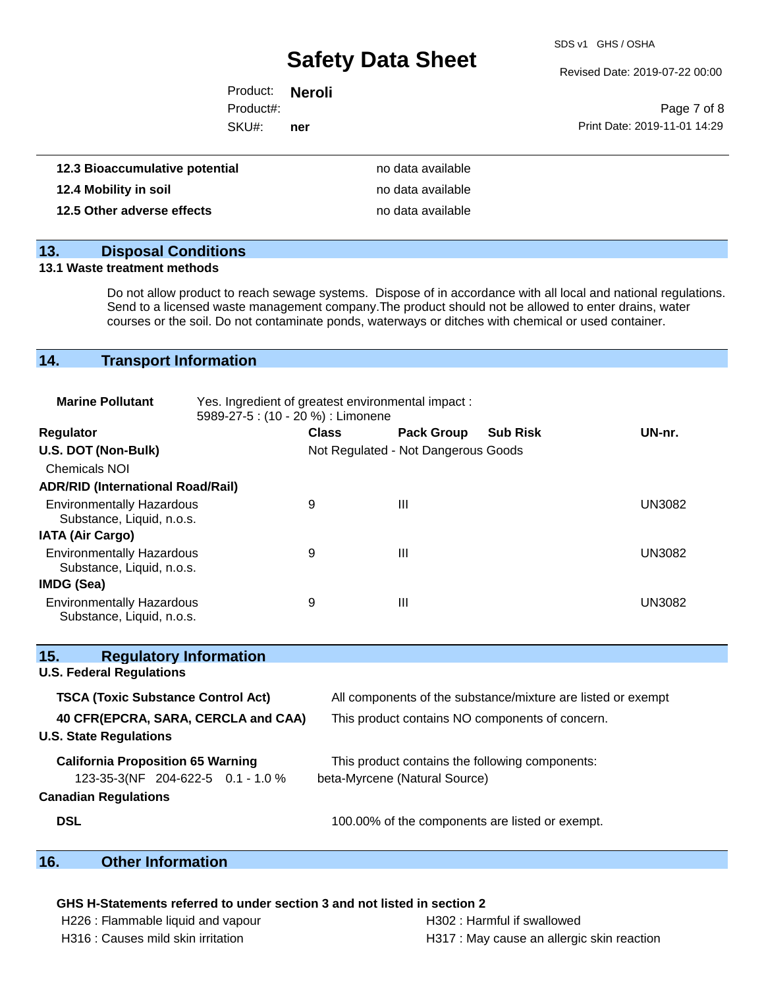SDS v1 GHS / OSHA

Revised Date: 2019-07-22 00:00

| Product: <b>Neroli</b> |     |                              |
|------------------------|-----|------------------------------|
| Product#:              |     | Page 7 of 8                  |
| SKU#:                  | ner | Print Date: 2019-11-01 14:29 |
|                        |     |                              |

| 12.3 Bioaccumulative potential | no data available |
|--------------------------------|-------------------|
| 12.4 Mobility in soil          | no data available |
| 12.5 Other adverse effects     | no data available |

# **13. Disposal Conditions**

#### **13.1 Waste treatment methods**

Do not allow product to reach sewage systems. Dispose of in accordance with all local and national regulations. Send to a licensed waste management company.The product should not be allowed to enter drains, water courses or the soil. Do not contaminate ponds, waterways or ditches with chemical or used container.

# **14. Transport Information**

| <b>Marine Pollutant</b>                                       | Yes. Ingredient of greatest environmental impact:<br>5989-27-5 : (10 - 20 %) : Limonene |              |                                     |                 |               |
|---------------------------------------------------------------|-----------------------------------------------------------------------------------------|--------------|-------------------------------------|-----------------|---------------|
| <b>Regulator</b>                                              |                                                                                         | <b>Class</b> | <b>Pack Group</b>                   | <b>Sub Risk</b> | UN-nr.        |
| U.S. DOT (Non-Bulk)                                           |                                                                                         |              | Not Regulated - Not Dangerous Goods |                 |               |
| <b>Chemicals NOI</b>                                          |                                                                                         |              |                                     |                 |               |
| <b>ADR/RID (International Road/Rail)</b>                      |                                                                                         |              |                                     |                 |               |
| <b>Environmentally Hazardous</b><br>Substance, Liquid, n.o.s. |                                                                                         | 9            | Ш                                   |                 | <b>UN3082</b> |
| <b>IATA (Air Cargo)</b>                                       |                                                                                         |              |                                     |                 |               |
| <b>Environmentally Hazardous</b><br>Substance, Liquid, n.o.s. |                                                                                         | 9            | Ш                                   |                 | UN3082        |
| IMDG (Sea)                                                    |                                                                                         |              |                                     |                 |               |
| <b>Environmentally Hazardous</b><br>Substance, Liquid, n.o.s. |                                                                                         | 9            | Ш                                   |                 | <b>UN3082</b> |

| 15.<br><b>Regulatory Information</b>      |                                                              |
|-------------------------------------------|--------------------------------------------------------------|
| <b>U.S. Federal Regulations</b>           |                                                              |
| <b>TSCA (Toxic Substance Control Act)</b> | All components of the substance/mixture are listed or exempt |
| 40 CFR(EPCRA, SARA, CERCLA and CAA)       | This product contains NO components of concern.              |
| <b>U.S. State Regulations</b>             |                                                              |
| <b>California Proposition 65 Warning</b>  | This product contains the following components:              |
| 123-35-3(NF 204-622-5 0.1 - 1.0 %         | beta-Myrcene (Natural Source)                                |
| <b>Canadian Regulations</b>               |                                                              |
| <b>DSL</b>                                | 100.00% of the components are listed or exempt.              |

## **16. Other Information**

## **GHS H-Statements referred to under section 3 and not listed in section 2**